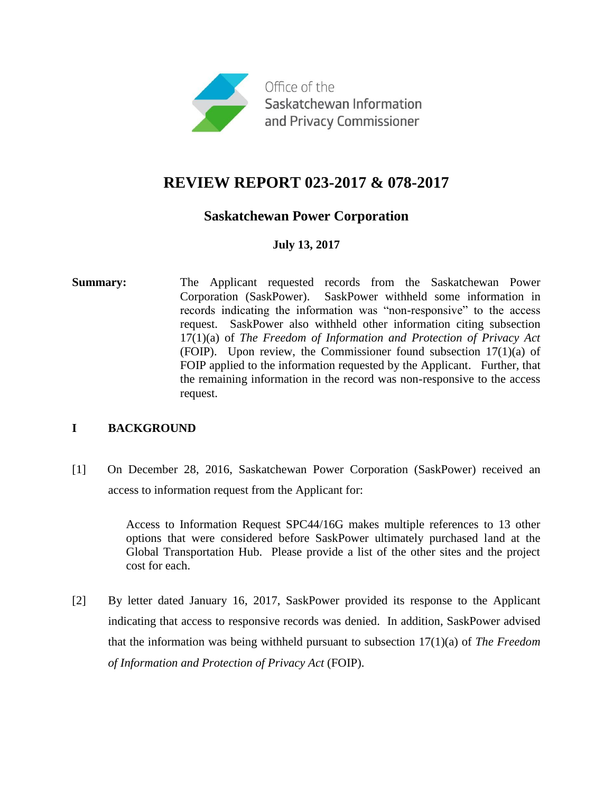

# **REVIEW REPORT 023-2017 & 078-2017**

# **Saskatchewan Power Corporation**

# **July 13, 2017**

**Summary:** The Applicant requested records from the Saskatchewan Power Corporation (SaskPower). SaskPower withheld some information in records indicating the information was "non-responsive" to the access request. SaskPower also withheld other information citing subsection 17(1)(a) of *The Freedom of Information and Protection of Privacy Act*  (FOIP). Upon review, the Commissioner found subsection 17(1)(a) of FOIP applied to the information requested by the Applicant. Further, that the remaining information in the record was non-responsive to the access request.

## **I BACKGROUND**

[1] On December 28, 2016, Saskatchewan Power Corporation (SaskPower) received an access to information request from the Applicant for:

> Access to Information Request SPC44/16G makes multiple references to 13 other options that were considered before SaskPower ultimately purchased land at the Global Transportation Hub. Please provide a list of the other sites and the project cost for each.

[2] By letter dated January 16, 2017, SaskPower provided its response to the Applicant indicating that access to responsive records was denied. In addition, SaskPower advised that the information was being withheld pursuant to subsection 17(1)(a) of *The Freedom of Information and Protection of Privacy Act* (FOIP).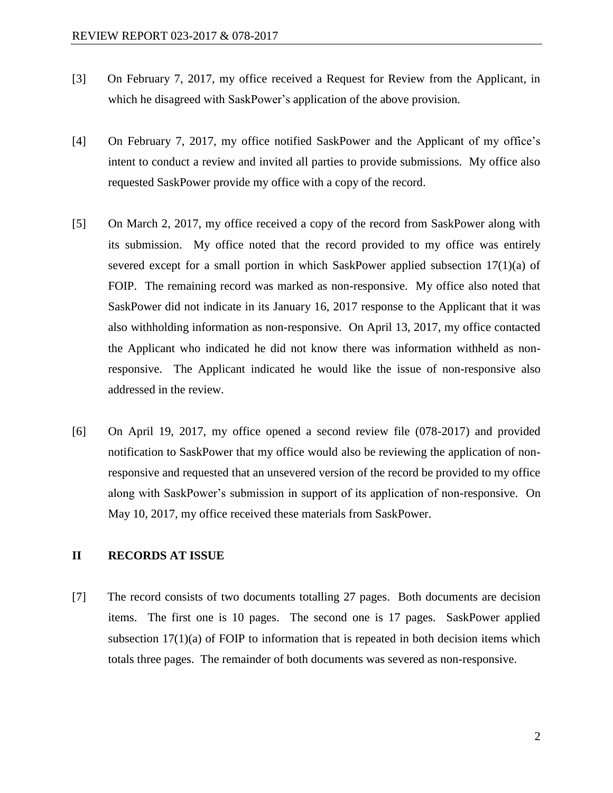- [3] On February 7, 2017, my office received a Request for Review from the Applicant, in which he disagreed with SaskPower's application of the above provision.
- [4] On February 7, 2017, my office notified SaskPower and the Applicant of my office's intent to conduct a review and invited all parties to provide submissions. My office also requested SaskPower provide my office with a copy of the record.
- [5] On March 2, 2017, my office received a copy of the record from SaskPower along with its submission. My office noted that the record provided to my office was entirely severed except for a small portion in which SaskPower applied subsection 17(1)(a) of FOIP. The remaining record was marked as non-responsive. My office also noted that SaskPower did not indicate in its January 16, 2017 response to the Applicant that it was also withholding information as non-responsive. On April 13, 2017, my office contacted the Applicant who indicated he did not know there was information withheld as nonresponsive. The Applicant indicated he would like the issue of non-responsive also addressed in the review.
- [6] On April 19, 2017, my office opened a second review file (078-2017) and provided notification to SaskPower that my office would also be reviewing the application of nonresponsive and requested that an unsevered version of the record be provided to my office along with SaskPower's submission in support of its application of non-responsive. On May 10, 2017, my office received these materials from SaskPower.

#### **II RECORDS AT ISSUE**

[7] The record consists of two documents totalling 27 pages. Both documents are decision items. The first one is 10 pages. The second one is 17 pages. SaskPower applied subsection  $17(1)(a)$  of FOIP to information that is repeated in both decision items which totals three pages. The remainder of both documents was severed as non-responsive.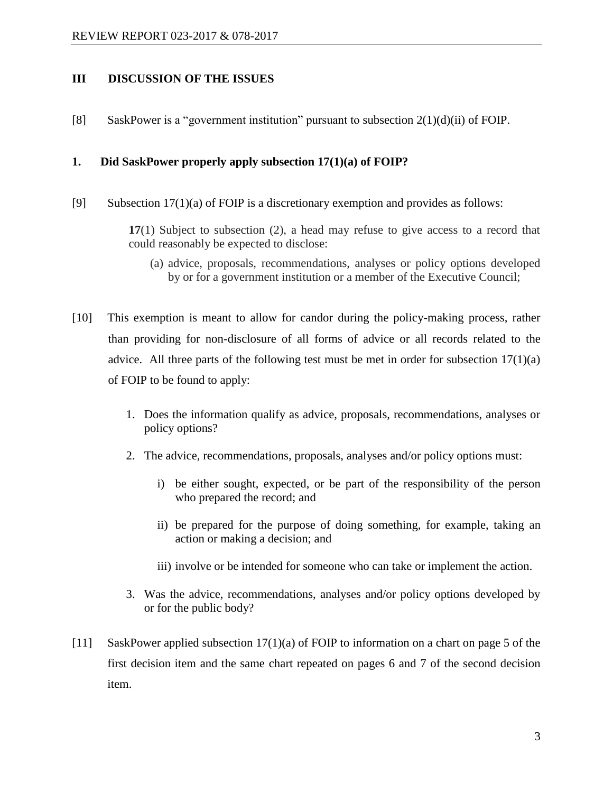#### **III DISCUSSION OF THE ISSUES**

[8] SaskPower is a "government institution" pursuant to subsection  $2(1)(d)(ii)$  of FOIP.

#### **1. Did SaskPower properly apply subsection 17(1)(a) of FOIP?**

[9] Subsection 17(1)(a) of FOIP is a discretionary exemption and provides as follows:

**17**(1) Subject to subsection (2), a head may refuse to give access to a record that could reasonably be expected to disclose:

- (a) advice, proposals, recommendations, analyses or policy options developed by or for a government institution or a member of the Executive Council;
- [10] This exemption is meant to allow for candor during the policy-making process, rather than providing for non-disclosure of all forms of advice or all records related to the advice. All three parts of the following test must be met in order for subsection  $17(1)(a)$ of FOIP to be found to apply:
	- 1. Does the information qualify as advice, proposals, recommendations, analyses or policy options?
	- 2. The advice, recommendations, proposals, analyses and/or policy options must:
		- i) be either sought, expected, or be part of the responsibility of the person who prepared the record; and
		- ii) be prepared for the purpose of doing something, for example, taking an action or making a decision; and
		- iii) involve or be intended for someone who can take or implement the action.
	- 3. Was the advice, recommendations, analyses and/or policy options developed by or for the public body?
- [11] SaskPower applied subsection 17(1)(a) of FOIP to information on a chart on page 5 of the first decision item and the same chart repeated on pages 6 and 7 of the second decision item.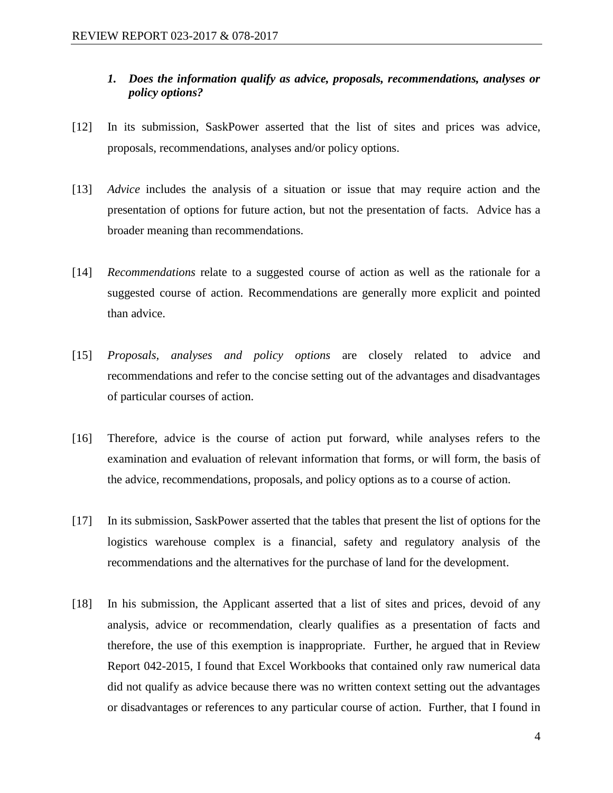## *1. Does the information qualify as advice, proposals, recommendations, analyses or policy options?*

- [12] In its submission, SaskPower asserted that the list of sites and prices was advice, proposals, recommendations, analyses and/or policy options.
- [13] *Advice* includes the analysis of a situation or issue that may require action and the presentation of options for future action, but not the presentation of facts. Advice has a broader meaning than recommendations.
- [14] *Recommendations* relate to a suggested course of action as well as the rationale for a suggested course of action. Recommendations are generally more explicit and pointed than advice.
- [15] *Proposals, analyses and policy options* are closely related to advice and recommendations and refer to the concise setting out of the advantages and disadvantages of particular courses of action.
- [16] Therefore, advice is the course of action put forward, while analyses refers to the examination and evaluation of relevant information that forms, or will form, the basis of the advice, recommendations, proposals, and policy options as to a course of action.
- [17] In its submission, SaskPower asserted that the tables that present the list of options for the logistics warehouse complex is a financial, safety and regulatory analysis of the recommendations and the alternatives for the purchase of land for the development.
- [18] In his submission, the Applicant asserted that a list of sites and prices, devoid of any analysis, advice or recommendation, clearly qualifies as a presentation of facts and therefore, the use of this exemption is inappropriate. Further, he argued that in Review Report 042-2015, I found that Excel Workbooks that contained only raw numerical data did not qualify as advice because there was no written context setting out the advantages or disadvantages or references to any particular course of action. Further, that I found in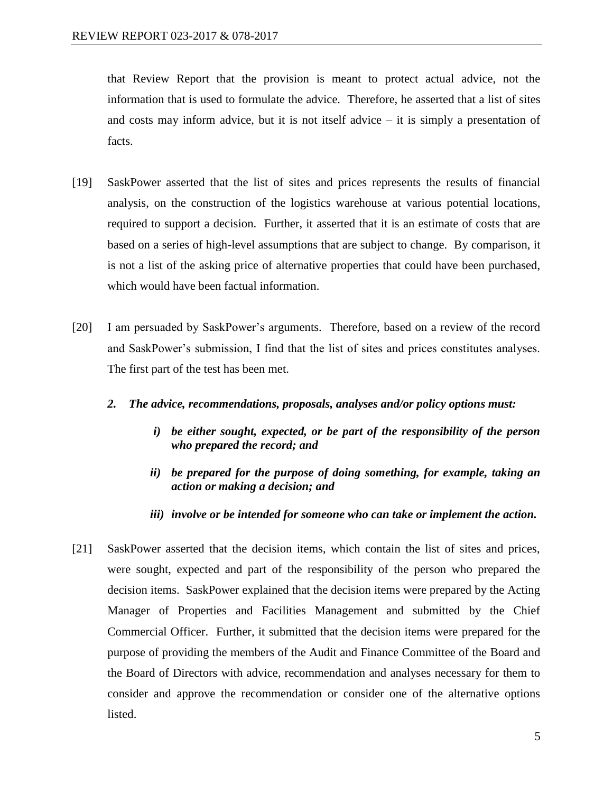that Review Report that the provision is meant to protect actual advice, not the information that is used to formulate the advice. Therefore, he asserted that a list of sites and costs may inform advice, but it is not itself advice  $-$  it is simply a presentation of facts.

- [19] SaskPower asserted that the list of sites and prices represents the results of financial analysis, on the construction of the logistics warehouse at various potential locations, required to support a decision. Further, it asserted that it is an estimate of costs that are based on a series of high-level assumptions that are subject to change. By comparison, it is not a list of the asking price of alternative properties that could have been purchased, which would have been factual information.
- [20] I am persuaded by SaskPower's arguments. Therefore, based on a review of the record and SaskPower's submission, I find that the list of sites and prices constitutes analyses. The first part of the test has been met.
	- *2. The advice, recommendations, proposals, analyses and/or policy options must:* 
		- *i) be either sought, expected, or be part of the responsibility of the person who prepared the record; and*
		- *ii) be prepared for the purpose of doing something, for example, taking an action or making a decision; and*
		- *iii) involve or be intended for someone who can take or implement the action.*
- [21] SaskPower asserted that the decision items, which contain the list of sites and prices, were sought, expected and part of the responsibility of the person who prepared the decision items. SaskPower explained that the decision items were prepared by the Acting Manager of Properties and Facilities Management and submitted by the Chief Commercial Officer. Further, it submitted that the decision items were prepared for the purpose of providing the members of the Audit and Finance Committee of the Board and the Board of Directors with advice, recommendation and analyses necessary for them to consider and approve the recommendation or consider one of the alternative options listed.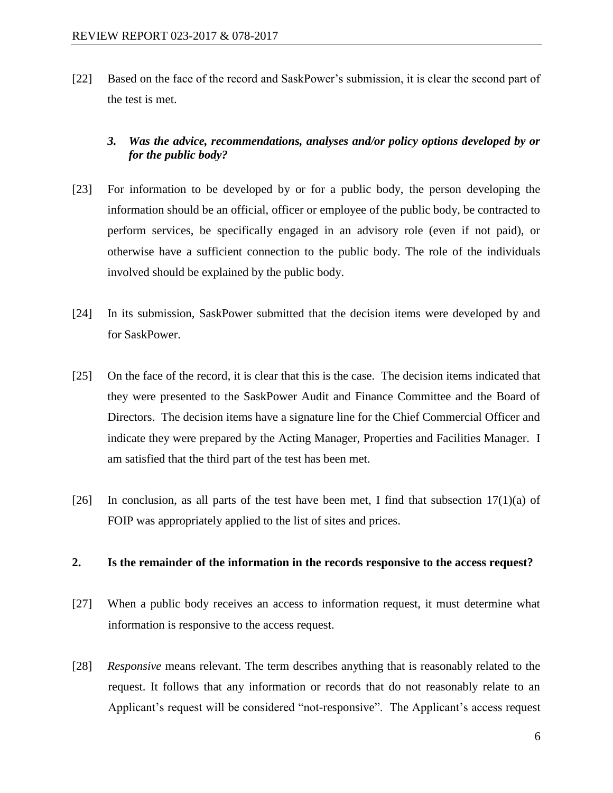[22] Based on the face of the record and SaskPower's submission, it is clear the second part of the test is met.

# *3. Was the advice, recommendations, analyses and/or policy options developed by or for the public body?*

- [23] For information to be developed by or for a public body, the person developing the information should be an official, officer or employee of the public body, be contracted to perform services, be specifically engaged in an advisory role (even if not paid), or otherwise have a sufficient connection to the public body. The role of the individuals involved should be explained by the public body.
- [24] In its submission, SaskPower submitted that the decision items were developed by and for SaskPower.
- [25] On the face of the record, it is clear that this is the case. The decision items indicated that they were presented to the SaskPower Audit and Finance Committee and the Board of Directors. The decision items have a signature line for the Chief Commercial Officer and indicate they were prepared by the Acting Manager, Properties and Facilities Manager. I am satisfied that the third part of the test has been met.
- [26] In conclusion, as all parts of the test have been met, I find that subsection  $17(1)(a)$  of FOIP was appropriately applied to the list of sites and prices.

#### **2. Is the remainder of the information in the records responsive to the access request?**

- [27] When a public body receives an access to information request, it must determine what information is responsive to the access request.
- [28] *Responsive* means relevant. The term describes anything that is reasonably related to the request. It follows that any information or records that do not reasonably relate to an Applicant's request will be considered "not-responsive". The Applicant's access request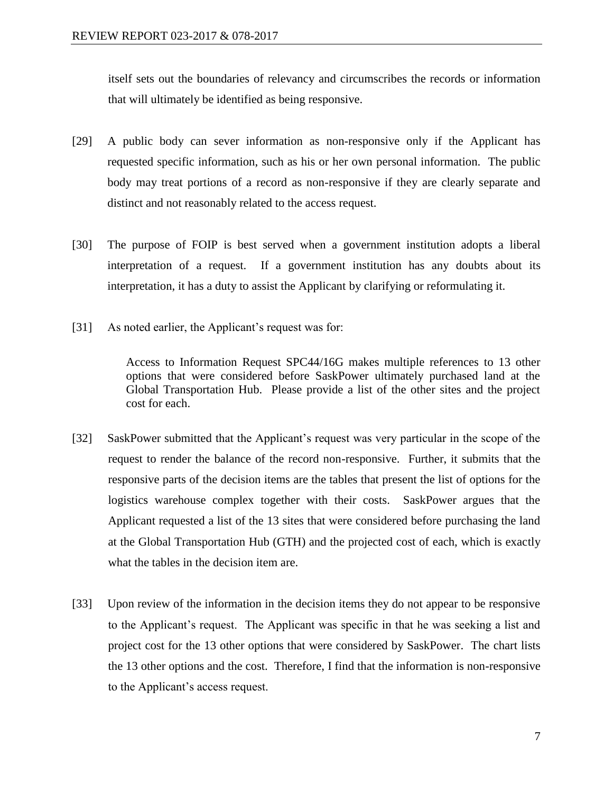itself sets out the boundaries of relevancy and circumscribes the records or information that will ultimately be identified as being responsive.

- [29] A public body can sever information as non-responsive only if the Applicant has requested specific information, such as his or her own personal information. The public body may treat portions of a record as non-responsive if they are clearly separate and distinct and not reasonably related to the access request.
- [30] The purpose of FOIP is best served when a government institution adopts a liberal interpretation of a request. If a government institution has any doubts about its interpretation, it has a duty to assist the Applicant by clarifying or reformulating it.
- [31] As noted earlier, the Applicant's request was for:

Access to Information Request SPC44/16G makes multiple references to 13 other options that were considered before SaskPower ultimately purchased land at the Global Transportation Hub. Please provide a list of the other sites and the project cost for each.

- [32] SaskPower submitted that the Applicant's request was very particular in the scope of the request to render the balance of the record non-responsive. Further, it submits that the responsive parts of the decision items are the tables that present the list of options for the logistics warehouse complex together with their costs. SaskPower argues that the Applicant requested a list of the 13 sites that were considered before purchasing the land at the Global Transportation Hub (GTH) and the projected cost of each, which is exactly what the tables in the decision item are.
- [33] Upon review of the information in the decision items they do not appear to be responsive to the Applicant's request. The Applicant was specific in that he was seeking a list and project cost for the 13 other options that were considered by SaskPower. The chart lists the 13 other options and the cost. Therefore, I find that the information is non-responsive to the Applicant's access request.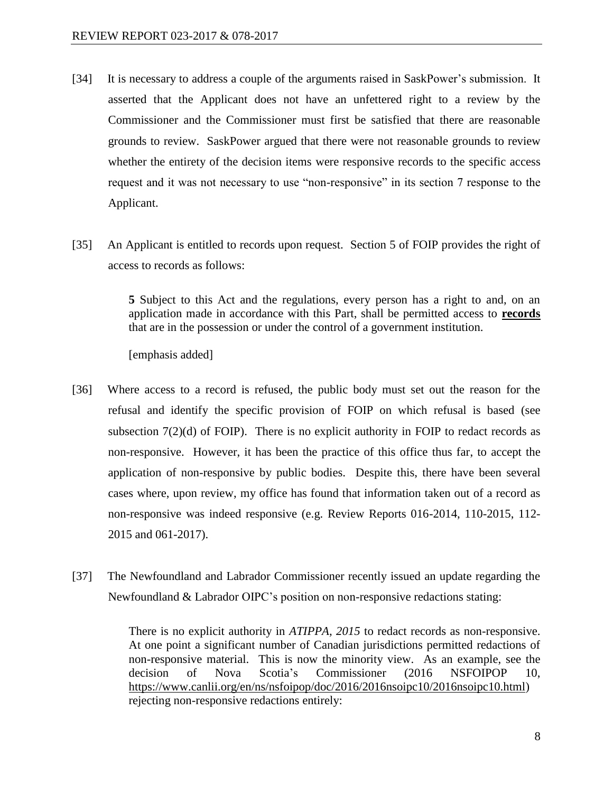- [34] It is necessary to address a couple of the arguments raised in SaskPower's submission. It asserted that the Applicant does not have an unfettered right to a review by the Commissioner and the Commissioner must first be satisfied that there are reasonable grounds to review. SaskPower argued that there were not reasonable grounds to review whether the entirety of the decision items were responsive records to the specific access request and it was not necessary to use "non-responsive" in its section 7 response to the Applicant.
- [35] An Applicant is entitled to records upon request. Section 5 of FOIP provides the right of access to records as follows:

**5** Subject to this Act and the regulations, every person has a right to and, on an application made in accordance with this Part, shall be permitted access to **records**  that are in the possession or under the control of a government institution.

[emphasis added]

- [36] Where access to a record is refused, the public body must set out the reason for the refusal and identify the specific provision of FOIP on which refusal is based (see subsection  $7(2)(d)$  of FOIP). There is no explicit authority in FOIP to redact records as non-responsive. However, it has been the practice of this office thus far, to accept the application of non-responsive by public bodies. Despite this, there have been several cases where, upon review, my office has found that information taken out of a record as non-responsive was indeed responsive (e.g. Review Reports 016-2014, 110-2015, 112- 2015 and 061-2017).
- [37] The Newfoundland and Labrador Commissioner recently issued an update regarding the Newfoundland & Labrador OIPC's position on non-responsive redactions stating:

There is no explicit authority in *ATIPPA, 2015* to redact records as non-responsive. At one point a significant number of Canadian jurisdictions permitted redactions of non-responsive material. This is now the minority view. As an example, see the decision of Nova Scotia's Commissioner (2016 NSFOIPOP 10, [https://www.canlii.org/en/ns/nsfoipop/doc/2016/2016nsoipc10/2016nsoipc10.html\)](https://www.canlii.org/en/ns/nsfoipop/doc/2016/2016nsoipc10/2016nsoipc10.html) rejecting non-responsive redactions entirely: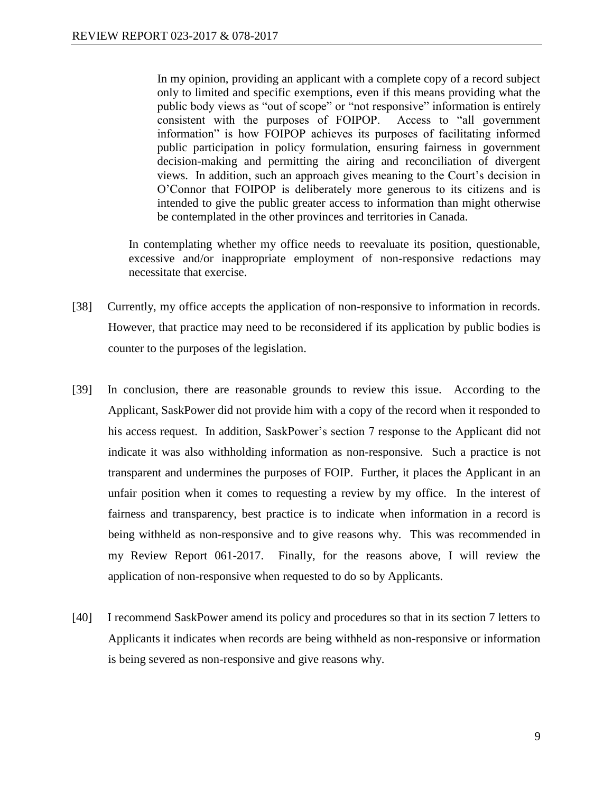In my opinion, providing an applicant with a complete copy of a record subject only to limited and specific exemptions, even if this means providing what the public body views as "out of scope" or "not responsive" information is entirely consistent with the purposes of FOIPOP. Access to "all government information" is how FOIPOP achieves its purposes of facilitating informed public participation in policy formulation, ensuring fairness in government decision-making and permitting the airing and reconciliation of divergent views. In addition, such an approach gives meaning to the Court's decision in O'Connor that FOIPOP is deliberately more generous to its citizens and is intended to give the public greater access to information than might otherwise be contemplated in the other provinces and territories in Canada.

In contemplating whether my office needs to reevaluate its position, questionable, excessive and/or inappropriate employment of non-responsive redactions may necessitate that exercise.

- [38] Currently, my office accepts the application of non-responsive to information in records. However, that practice may need to be reconsidered if its application by public bodies is counter to the purposes of the legislation.
- [39] In conclusion, there are reasonable grounds to review this issue. According to the Applicant, SaskPower did not provide him with a copy of the record when it responded to his access request. In addition, SaskPower's section 7 response to the Applicant did not indicate it was also withholding information as non-responsive. Such a practice is not transparent and undermines the purposes of FOIP. Further, it places the Applicant in an unfair position when it comes to requesting a review by my office. In the interest of fairness and transparency, best practice is to indicate when information in a record is being withheld as non-responsive and to give reasons why. This was recommended in my Review Report 061-2017. Finally, for the reasons above, I will review the application of non-responsive when requested to do so by Applicants.
- [40] I recommend SaskPower amend its policy and procedures so that in its section 7 letters to Applicants it indicates when records are being withheld as non-responsive or information is being severed as non-responsive and give reasons why.